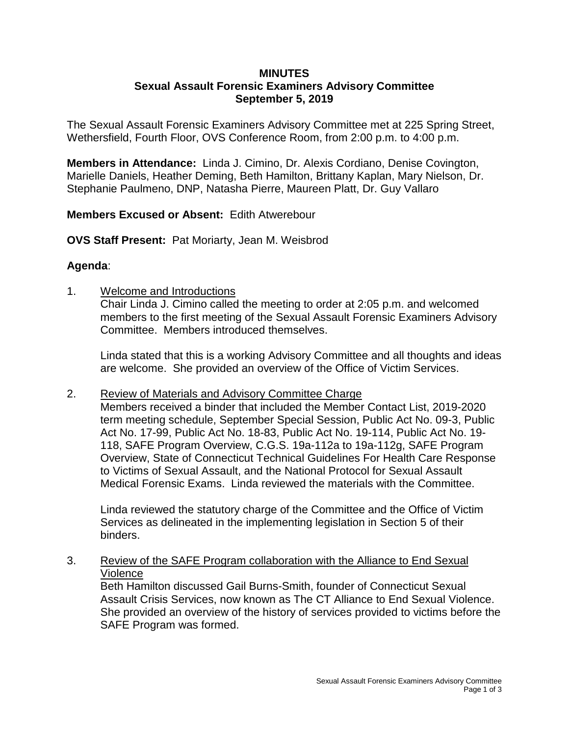### **MINUTES Sexual Assault Forensic Examiners Advisory Committee September 5, 2019**

The Sexual Assault Forensic Examiners Advisory Committee met at 225 Spring Street, Wethersfield, Fourth Floor, OVS Conference Room, from 2:00 p.m. to 4:00 p.m.

**Members in Attendance:** Linda J. Cimino, Dr. Alexis Cordiano, Denise Covington, Marielle Daniels, Heather Deming, Beth Hamilton, Brittany Kaplan, Mary Nielson, Dr. Stephanie Paulmeno, DNP, Natasha Pierre, Maureen Platt, Dr. Guy Vallaro

# **Members Excused or Absent:** Edith Atwerebour

**OVS Staff Present:** Pat Moriarty, Jean M. Weisbrod

# **Agenda**:

1. Welcome and Introductions

Chair Linda J. Cimino called the meeting to order at 2:05 p.m. and welcomed members to the first meeting of the Sexual Assault Forensic Examiners Advisory Committee. Members introduced themselves.

Linda stated that this is a working Advisory Committee and all thoughts and ideas are welcome. She provided an overview of the Office of Victim Services.

## 2. Review of Materials and Advisory Committee Charge

Members received a binder that included the Member Contact List, 2019-2020 term meeting schedule, September Special Session, Public Act No. 09-3, Public Act No. 17-99, Public Act No. 18-83, Public Act No. 19-114, Public Act No. 19- 118, SAFE Program Overview, C.G.S. 19a-112a to 19a-112g, SAFE Program Overview, State of Connecticut Technical Guidelines For Health Care Response to Victims of Sexual Assault, and the National Protocol for Sexual Assault Medical Forensic Exams. Linda reviewed the materials with the Committee.

Linda reviewed the statutory charge of the Committee and the Office of Victim Services as delineated in the implementing legislation in Section 5 of their binders.

## 3. Review of the SAFE Program collaboration with the Alliance to End Sexual Violence

Beth Hamilton discussed Gail Burns-Smith, founder of Connecticut Sexual Assault Crisis Services, now known as The CT Alliance to End Sexual Violence. She provided an overview of the history of services provided to victims before the SAFE Program was formed.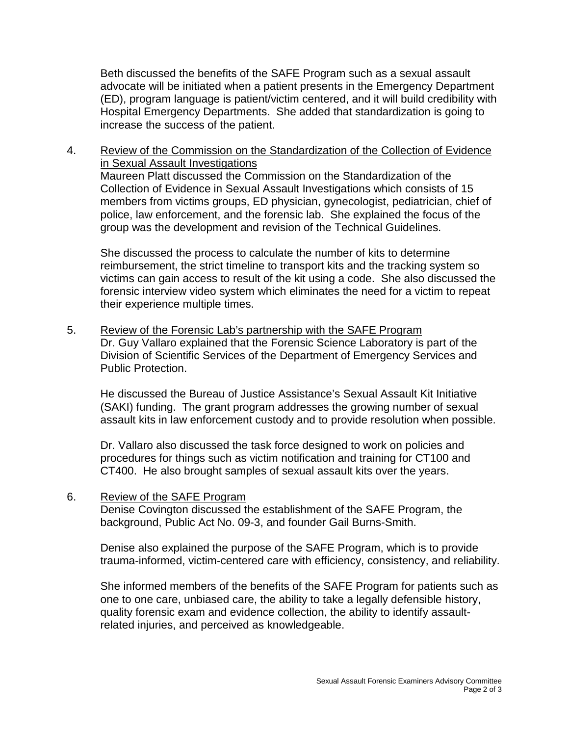Beth discussed the benefits of the SAFE Program such as a sexual assault advocate will be initiated when a patient presents in the Emergency Department (ED), program language is patient/victim centered, and it will build credibility with Hospital Emergency Departments. She added that standardization is going to increase the success of the patient.

4. Review of the Commission on the Standardization of the Collection of Evidence in Sexual Assault Investigations Maureen Platt discussed the Commission on the Standardization of the Collection of Evidence in Sexual Assault Investigations which consists of 15 members from victims groups, ED physician, gynecologist, pediatrician, chief of police, law enforcement, and the forensic lab. She explained the focus of the group was the development and revision of the Technical Guidelines.

She discussed the process to calculate the number of kits to determine reimbursement, the strict timeline to transport kits and the tracking system so victims can gain access to result of the kit using a code. She also discussed the forensic interview video system which eliminates the need for a victim to repeat their experience multiple times.

5. Review of the Forensic Lab's partnership with the SAFE Program Dr. Guy Vallaro explained that the Forensic Science Laboratory is part of the Division of Scientific Services of the Department of Emergency Services and Public Protection.

He discussed the Bureau of Justice Assistance's Sexual Assault Kit Initiative (SAKI) funding. The grant program addresses the growing number of sexual assault kits in law enforcement custody and to provide resolution when possible.

Dr. Vallaro also discussed the task force designed to work on policies and procedures for things such as victim notification and training for CT100 and CT400. He also brought samples of sexual assault kits over the years.

6. Review of the SAFE Program

Denise Covington discussed the establishment of the SAFE Program, the background, Public Act No. 09-3, and founder Gail Burns-Smith.

Denise also explained the purpose of the SAFE Program, which is to provide trauma-informed, victim-centered care with efficiency, consistency, and reliability.

She informed members of the benefits of the SAFE Program for patients such as one to one care, unbiased care, the ability to take a legally defensible history, quality forensic exam and evidence collection, the ability to identify assaultrelated injuries, and perceived as knowledgeable.